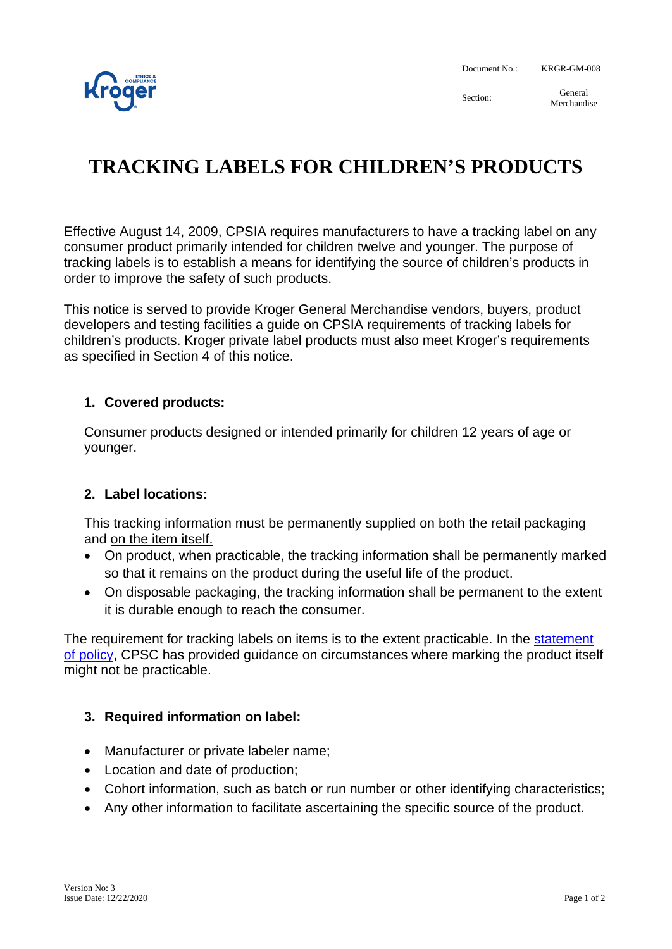

Document No.: KRGR-GM-008

Section: General Merchandise

# **TRACKING LABELS FOR CHILDREN'S PRODUCTS**

Effective August 14, 2009, CPSIA requires manufacturers to have a tracking label on any consumer product primarily intended for children twelve and younger. The purpose of tracking labels is to establish a means for identifying the source of children's products in order to improve the safety of such products.

This notice is served to provide Kroger General Merchandise vendors, buyers, product developers and testing facilities a guide on CPSIA requirements of tracking labels for children's products. Kroger private label products must also meet Kroger's requirements as specified in Section 4 of this notice.

# **1. Covered products:**

Consumer products designed or intended primarily for children 12 years of age or younger.

### **2. Label locations:**

This tracking information must be permanently supplied on both the retail packaging and on the item itself.

- On product, when practicable, the tracking information shall be permanently marked so that it remains on the product during the useful life of the product.
- On disposable packaging, the tracking information shall be permanent to the extent it is durable enough to reach the consumer.

The requirement for tracking labels on items is to the extent practicable. In the [statement](https://www.cpsc.gov/s3fs-public/pdfs/blk_media_sect103policy.pdf)  [of policy,](https://www.cpsc.gov/s3fs-public/pdfs/blk_media_sect103policy.pdf) CPSC has provided guidance on circumstances where marking the product itself might not be practicable.

### **3. Required information on label:**

- Manufacturer or private labeler name;
- Location and date of production;
- Cohort information, such as batch or run number or other identifying characteristics;
- Any other information to facilitate ascertaining the specific source of the product.